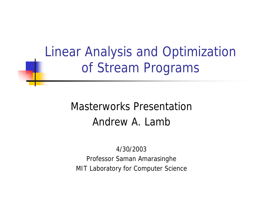#### Linear Analysis and Optimization of Stream Programs

#### Masterworks Presentation Andrew A. Lamb

4/30/2003 Professor Saman Amarasinghe MIT Laboratory for Computer Science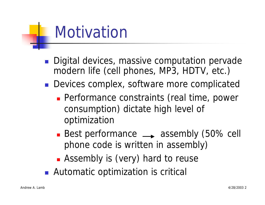#### **Motivation**

- Digital devices, massive computation pervade modern life (cell phones, MP3, HDTV, etc.)
- **Devices complex, software more complicated** 
	- **Performance constraints (real time, power** consumption) dictate high level of optimization
	- Best performance  $\rightarrow$  assembly (50% cell phone code is written in assembly)
	- **E** Assembly is (very) hard to reuse
- Automatic optimization is critical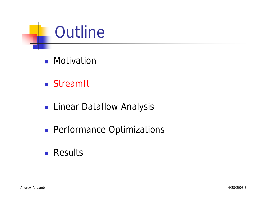- **n** Motivation
- **n** Stream<sub>It</sub>
- **n** Linear Dataflow Analysis
- **n** Performance Optimizations
- <sup>n</sup> Results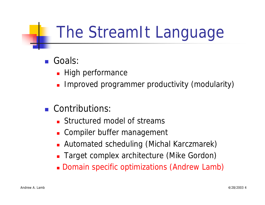#### The StreamIt Language

- Goals:
	- **High performance**
	- Improved programmer productivity (modularity)
- n Contributions:
	- **n** Structured model of streams
	- **EX Compiler buffer management**
	- **E** Automated scheduling (Michal Karczmarek)
	- **Target complex architecture (Mike Gordon)**
	- **Domain specific optimizations (Andrew Lamb)**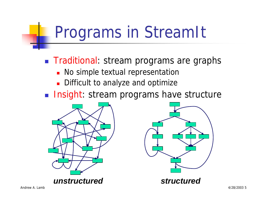#### Programs in StreamIt

**n** Traditional: stream programs are graphs

- **No simple textual representation**
- Difficult to analyze and optimize
- **n Insight: stream programs have structure**





*unstructured structured*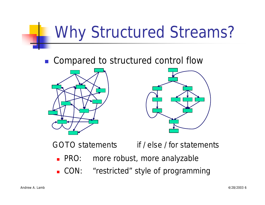### Why Structured Streams?

■ Compared to structured control flow





• PRO: more robust, more analyzable *GOTO* statements *if* / *else* / *for* statements

**.** CON: "restricted" style of programming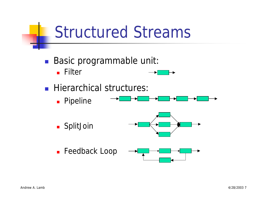#### Structured Streams

- **Basic programmable unit:** 
	- <sup>n</sup> Filter
- **Hierarchical structures:** 
	- **n** Pipeline

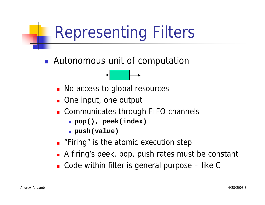### Representing Filters

**n** Autonomous unit of computation



- **n** One input, one output
- **n** Communicates through FIFO channels
	- <sup>n</sup> **pop(), peek(index)**
	- **push(value)**
- **n** "Firing" is the atomic execution step
- **A** firing's peek, pop, push rates must be constant
- $\blacksquare$  Code within filter is general purpose like C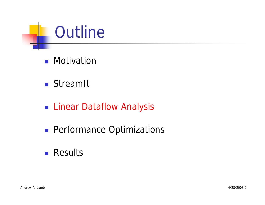- **n** Motivation
- <sup>n</sup> StreamIt
- **Example 21 Linear Dataflow Analysis**
- **n** Performance Optimizations
- <sup>n</sup> Results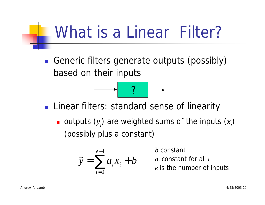#### What is a *Linear* Filter?

■ Generic filters generate outputs (possibly) based on their inputs

■ Linear filters: standard sense of linearity

?

outputs  $(y_j)$  are weighted sums of the inputs  $(x_i)$ (possibly plus a constant)

$$
\vec{y} = \sum_{i=0}^{e-1} a_i x_i + b
$$

*b* constant

*ai* constant for all *i*

*e* is the number of inputs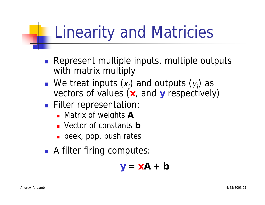#### Linearity and Matricies

- **Represent multiple inputs, multiple outputs** with matrix multiply
- **n** We treat inputs  $(x_i)$  and outputs  $(y_j)$  as vectors of values (x, and y respectively)
- **Filter representation:** 
	- **n** Matrix of weights **A**
	- **n** Vector of constants **b**
	- **n** peek, pop, push rates
- **A** filter firing computes:

 $y = xA + b$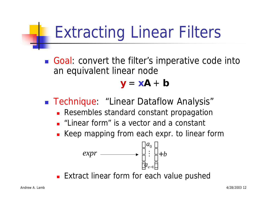#### Extracting Linear Filters

■ Goal: convert the filter's imperative code into an equivalent linear node

 $y = xA + b$ 

■ Technique: "Linear Dataflow Analysis"

- **Resembles standard constant propagation**
- **n** "Linear form" is a vector and a constant
- **EXECT** Keep mapping from each expr. to linear form

$$
expr \longrightarrow \begin{bmatrix} a_0 \\ \vdots \\ a_{e-1} \end{bmatrix} + b
$$

**Extract linear form for each value pushed**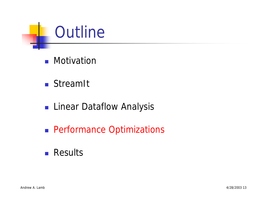- **n** Motivation
- <sup>n</sup> StreamIt
- **n** Linear Dataflow Analysis
- **n** Performance Optimizations
- <sup>n</sup> Results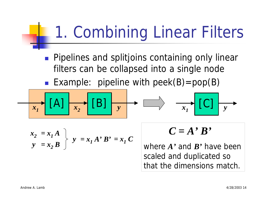### 1. Combining Linear Filters

- **n** Pipelines and splitjoins containing only linear filters can be collapsed into a single node
- Example: pipeline with  $peek(B)=pop(B)$

$$
x_1 \cup [A] \mid x_2 \cup [B] \mid y \mid x_1 \mid [C]
$$

$$
\begin{array}{c}\n x_2 = x_1 A \\
y = x_2 B\n\end{array}\n\bigg\}\n\quad y = x_1 A' B' = x_1 C
$$

$$
C=A'B'
$$

where *A'* and *B'* have been scaled and duplicated so that the dimensions match.

*y*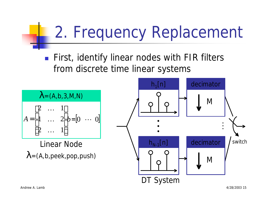### 2. Frequency Replacement

**n** First, identify linear nodes with FIR filters from discrete time linear systems



 $\lambda = (A, b, \text{peak}, \text{pop}, \text{push})$ Linear Node

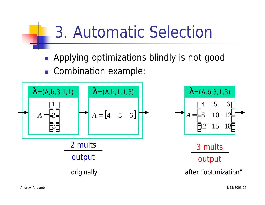#### 3. Automatic Selection

- **Applying optimizations blindly is not good**
- Combination example:

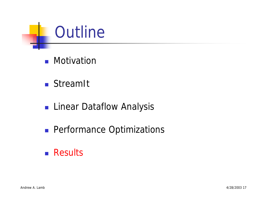- **n** Motivation
- <sup>n</sup> StreamIt
- **n** Linear Dataflow Analysis
- **n** Performance Optimizations
- <sup>n</sup> Results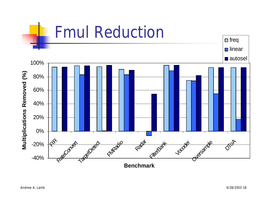#### Fmul Reduction

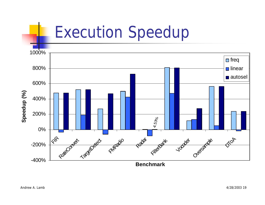

**Benchmark**